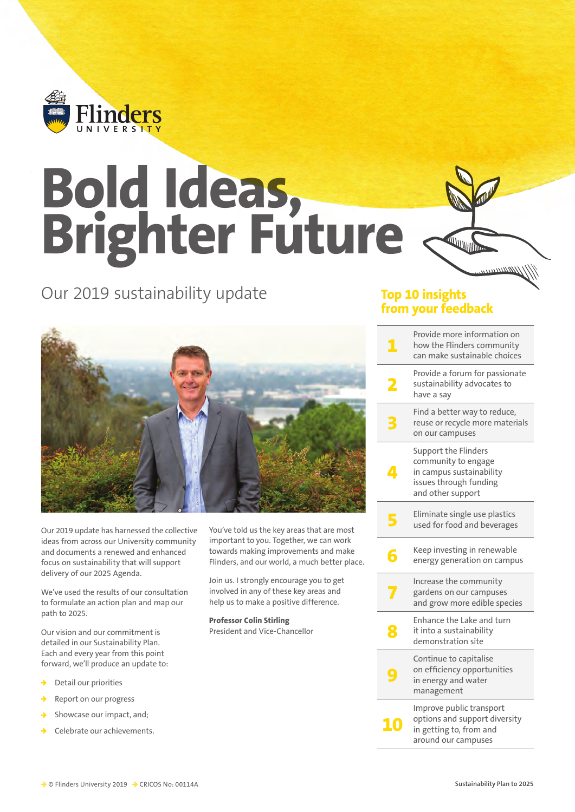

## **Bold Ideas, Brighter Future**

## Our 2019 sustainability update



 $mmm$ 

|    | Provide more information on<br>how the Flinders community<br>can make sustainable choices                              |
|----|------------------------------------------------------------------------------------------------------------------------|
| 2  | Provide a forum for passionate<br>sustainability advocates to<br>have a say                                            |
|    | Find a better way to reduce,<br>reuse or recycle more materials<br>on our campuses                                     |
| 4  | Support the Flinders<br>community to engage<br>in campus sustainability<br>issues through funding<br>and other support |
| 5  | Eliminate single use plastics<br>used for food and beverages                                                           |
| Б  | Keep investing in renewable<br>energy generation on campus                                                             |
|    | Increase the community<br>gardens on our campuses<br>and grow more edible species                                      |
| ž. | Enhance the Lake and turn<br>it into a sustainability<br>demonstration site                                            |
|    | Continue to capitalise<br>on efficiency opportunities<br>in energy and water<br>management                             |
| 10 | Improve public transport<br>options and support diversity<br>in getting to, from and<br>around our campuses            |
|    |                                                                                                                        |



Our 2019 update has harnessed the collective ideas from across our University community and documents a renewed and enhanced focus on sustainability that will support delivery of our 2025 Agenda.

We've used the results of our consultation to formulate an action plan and map our path to 2025.

Our vision and our commitment is detailed in our Sustainability Plan. Each and every year from this point forward, we'll produce an update to:

- $\rightarrow$  Detail our priorities
- Report on our progress
- $\rightarrow$  Showcase our impact, and;
- Celebrate our achievements.

You've told us the key areas that are most important to you. Together, we can work towards making improvements and make Flinders, and our world, a much better place.

Join us. I strongly encourage you to get involved in any of these key areas and help us to make a positive difference.

**Professor Colin Stirling** President and Vice-Chancellor